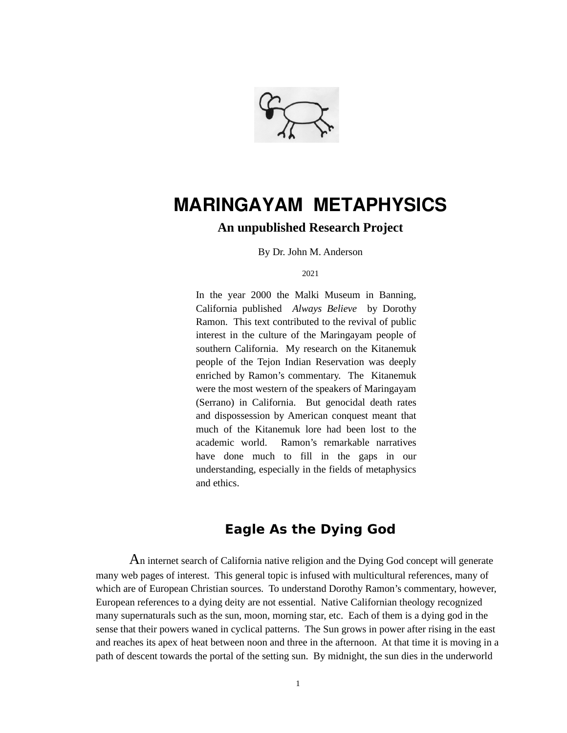

# **MARINGAYAM METAPHYSICS**

#### **An unpublished Research Project**

By Dr. John M. Anderson

2021

In the year 2000 the Malki Museum in Banning, California published *Always Believe* by Dorothy Ramon. This text contributed to the revival of public interest in the culture of the Maringayam people of southern California. My research on the Kitanemuk people of the Tejon Indian Reservation was deeply enriched by Ramon's commentary. The Kitanemuk were the most western of the speakers of Maringayam (Serrano) in California. But genocidal death rates and dispossession by American conquest meant that much of the Kitanemuk lore had been lost to the academic world. Ramon's remarkable narratives have done much to fill in the gaps in our understanding, especially in the fields of metaphysics and ethics.

## **Eagle As the Dying God**

An internet search of California native religion and the Dying God concept will generate many web pages of interest. This general topic is infused with multicultural references, many of which are of European Christian sources. To understand Dorothy Ramon's commentary, however, European references to a dying deity are not essential. Native Californian theology recognized many supernaturals such as the sun, moon, morning star, etc. Each of them is a dying god in the sense that their powers waned in cyclical patterns. The Sun grows in power after rising in the east and reaches its apex of heat between noon and three in the afternoon. At that time it is moving in a path of descent towards the portal of the setting sun. By midnight, the sun dies in the underworld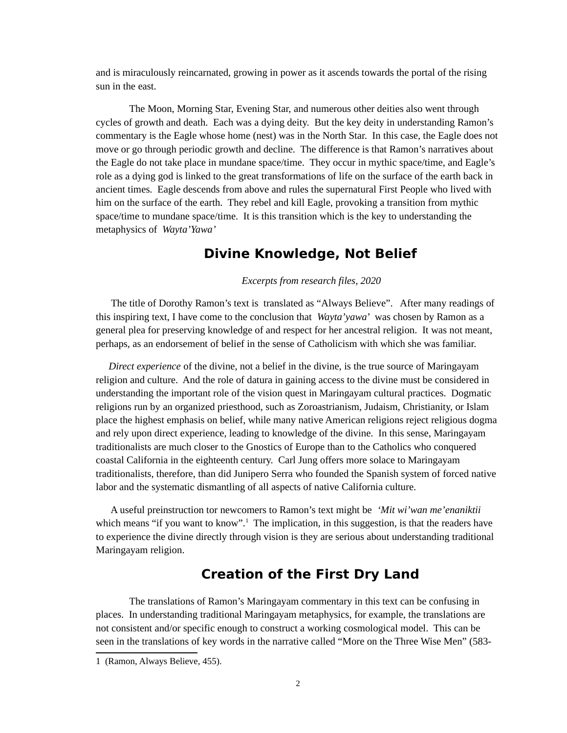and is miraculously reincarnated, growing in power as it ascends towards the portal of the rising sun in the east.

The Moon, Morning Star, Evening Star, and numerous other deities also went through cycles of growth and death. Each was a dying deity. But the key deity in understanding Ramon's commentary is the Eagle whose home (nest) was in the North Star. In this case, the Eagle does not move or go through periodic growth and decline. The difference is that Ramon's narratives about the Eagle do not take place in mundane space/time. They occur in mythic space/time, and Eagle's role as a dying god is linked to the great transformations of life on the surface of the earth back in ancient times. Eagle descends from above and rules the supernatural First People who lived with him on the surface of the earth. They rebel and kill Eagle, provoking a transition from mythic space/time to mundane space/time. It is this transition which is the key to understanding the metaphysics of *Wayta'Yawa'*

#### **Divine Knowledge, Not Belief**

 *Excerpts from research files, 2020*

 The title of Dorothy Ramon's text is translated as "Always Believe". After many readings of this inspiring text, I have come to the conclusion that *Wayta'yawa*' was chosen by Ramon as a general plea for preserving knowledge of and respect for her ancestral religion. It was not meant, perhaps, as an endorsement of belief in the sense of Catholicism with which she was familiar.

*Direct experience* of the divine, not a belief in the divine, is the true source of Maringayam religion and culture. And the role of datura in gaining access to the divine must be considered in understanding the important role of the vision quest in Maringayam cultural practices. Dogmatic religions run by an organized priesthood, such as Zoroastrianism, Judaism, Christianity, or Islam place the highest emphasis on belief, while many native American religions reject religious dogma and rely upon direct experience, leading to knowledge of the divine. In this sense, Maringayam traditionalists are much closer to the Gnostics of Europe than to the Catholics who conquered coastal California in the eighteenth century. Carl Jung offers more solace to Maringayam traditionalists, therefore, than did Junipero Serra who founded the Spanish system of forced native labor and the systematic dismantling of all aspects of native California culture.

 A useful preinstruction tor newcomers to Ramon's text might be *'Mit wi'wan me'enaniktii*  which means "if you want to know".<sup>[1](#page-1-0)</sup> The implication, in this suggestion, is that the readers have to experience the divine directly through vision is they are serious about understanding traditional Maringayam religion.

### **Creation of the First Dry Land**

The translations of Ramon's Maringayam commentary in this text can be confusing in places. In understanding traditional Maringayam metaphysics, for example, the translations are not consistent and/or specific enough to construct a working cosmological model. This can be seen in the translations of key words in the narrative called "More on the Three Wise Men" (583-

<span id="page-1-0"></span><sup>1 (</sup>Ramon, Always Believe, 455).